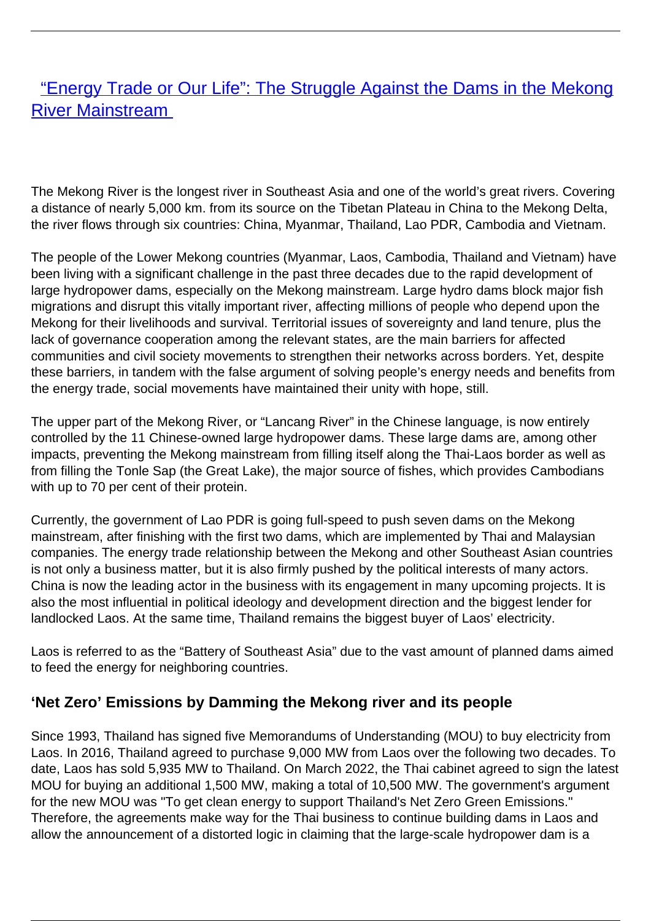## **["Energy Trade or Our Life": The Struggle Against the Dams in the Mekong](/bulletin-articles/the-struggle-against-the-dams-in-the-mekong-river-mainstream)** [River Mainstream](/bulletin-articles/the-struggle-against-the-dams-in-the-mekong-river-mainstream)

The Mekong River is the longest river in Southeast Asia and one of the world's great rivers. Covering a distance of nearly 5,000 km. from its source on the Tibetan Plateau in China to the Mekong Delta, the river flows through six countries: China, Myanmar, Thailand, Lao PDR, Cambodia and Vietnam.

The people of the Lower Mekong countries (Myanmar, Laos, Cambodia, Thailand and Vietnam) have been living with a significant challenge in the past three decades due to the rapid development of large hydropower dams, especially on the Mekong mainstream. Large hydro dams block major fish migrations and disrupt this vitally important river, affecting millions of people who depend upon the Mekong for their livelihoods and survival. Territorial issues of sovereignty and land tenure, plus the lack of governance cooperation among the relevant states, are the main barriers for affected communities and civil society movements to strengthen their networks across borders. Yet, despite these barriers, in tandem with the false argument of solving people's energy needs and benefits from the energy trade, social movements have maintained their unity with hope, still.

The upper part of the Mekong River, or "Lancang River" in the Chinese language, is now entirely controlled by the 11 Chinese-owned large hydropower dams. These large dams are, among other impacts, preventing the Mekong mainstream from filling itself along the Thai-Laos border as well as from filling the Tonle Sap (the Great Lake), the major source of fishes, which provides Cambodians with up to 70 per cent of their protein.

Currently, the government of Lao PDR is going full-speed to push seven dams on the Mekong mainstream, after finishing with the first two dams, which are implemented by Thai and Malaysian companies. The energy trade relationship between the Mekong and other Southeast Asian countries is not only a business matter, but it is also firmly pushed by the political interests of many actors. China is now the leading actor in the business with its engagement in many upcoming projects. It is also the most influential in political ideology and development direction and the biggest lender for landlocked Laos. At the same time, Thailand remains the biggest buyer of Laos' electricity.

Laos is referred to as the "Battery of Southeast Asia" due to the vast amount of planned dams aimed to feed the energy for neighboring countries.

## **'Net Zero' Emissions by Damming the Mekong river and its people**

Since 1993, Thailand has signed five Memorandums of Understanding (MOU) to buy electricity from Laos. In 2016, Thailand agreed to purchase 9,000 MW from Laos over the following two decades. To date, Laos has sold 5,935 MW to Thailand. On March 2022, the Thai cabinet agreed to sign the latest MOU for buying an additional 1,500 MW, making a total of 10,500 MW. The government's argument for the new MOU was "To get clean energy to support Thailand's Net Zero Green Emissions." Therefore, the agreements make way for the Thai business to continue building dams in Laos and allow the announcement of a distorted logic in claiming that the large-scale hydropower dam is a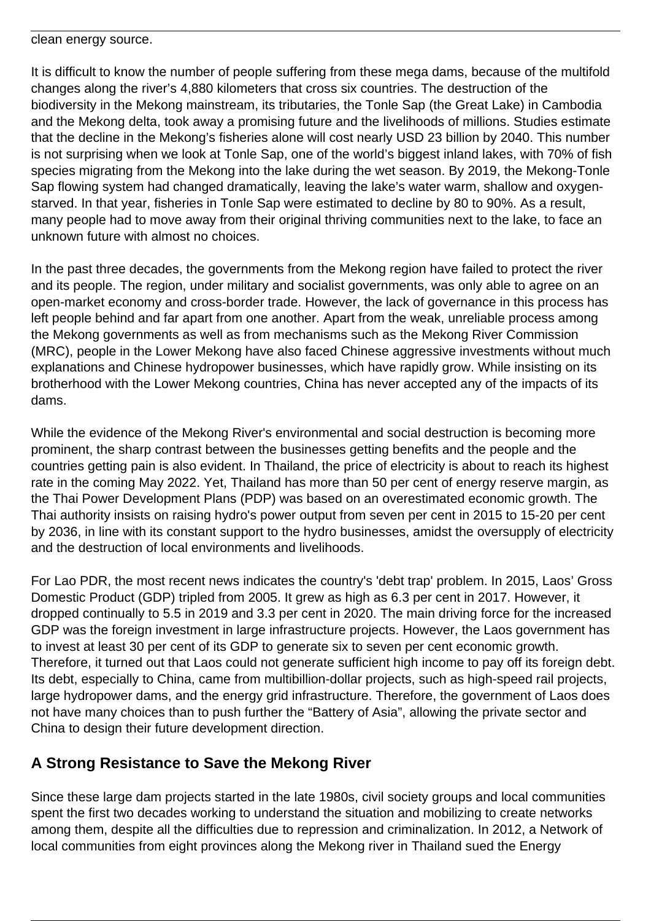clean energy source.

It is difficult to know the number of people suffering from these mega dams, because of the multifold changes along the river's 4,880 kilometers that cross six countries. The destruction of the biodiversity in the Mekong mainstream, its tributaries, the Tonle Sap (the Great Lake) in Cambodia and the Mekong delta, took away a promising future and the livelihoods of millions. Studies estimate that the decline in the Mekong's fisheries alone will cost nearly USD 23 billion by 2040. This number is not surprising when we look at Tonle Sap, one of the world's biggest inland lakes, with 70% of fish species migrating from the Mekong into the lake during the wet season. By 2019, the Mekong-Tonle Sap flowing system had changed dramatically, leaving the lake's water warm, shallow and oxygenstarved. In that year, fisheries in Tonle Sap were estimated to decline by 80 to 90%. As a result, many people had to move away from their original thriving communities next to the lake, to face an unknown future with almost no choices.

In the past three decades, the governments from the Mekong region have failed to protect the river and its people. The region, under military and socialist governments, was only able to agree on an open-market economy and cross-border trade. However, the lack of governance in this process has left people behind and far apart from one another. Apart from the weak, unreliable process among the Mekong governments as well as from mechanisms such as the Mekong River Commission (MRC), people in the Lower Mekong have also faced Chinese aggressive investments without much explanations and Chinese hydropower businesses, which have rapidly grow. While insisting on its brotherhood with the Lower Mekong countries, China has never accepted any of the impacts of its dams.

While the evidence of the Mekong River's environmental and social destruction is becoming more prominent, the sharp contrast between the businesses getting benefits and the people and the countries getting pain is also evident. In Thailand, the price of electricity is about to reach its highest rate in the coming May 2022. Yet, Thailand has more than 50 per cent of energy reserve margin, as the Thai Power Development Plans (PDP) was based on an overestimated economic growth. The Thai authority insists on raising hydro's power output from seven per cent in 2015 to 15-20 per cent by 2036, in line with its constant support to the hydro businesses, amidst the oversupply of electricity and the destruction of local environments and livelihoods.

For Lao PDR, the most recent news indicates the country's 'debt trap' problem. In 2015, Laos' Gross Domestic Product (GDP) tripled from 2005. It grew as high as 6.3 per cent in 2017. However, it dropped continually to 5.5 in 2019 and 3.3 per cent in 2020. The main driving force for the increased GDP was the foreign investment in large infrastructure projects. However, the Laos government has to invest at least 30 per cent of its GDP to generate six to seven per cent economic growth. Therefore, it turned out that Laos could not generate sufficient high income to pay off its foreign debt. Its debt, especially to China, came from multibillion-dollar projects, such as high-speed rail projects, large hydropower dams, and the energy grid infrastructure. Therefore, the government of Laos does not have many choices than to push further the "Battery of Asia", allowing the private sector and China to design their future development direction.

## **A Strong Resistance to Save the Mekong River**

Since these large dam projects started in the late 1980s, civil society groups and local communities spent the first two decades working to understand the situation and mobilizing to create networks among them, despite all the difficulties due to repression and criminalization. In 2012, a Network of local communities from eight provinces along the Mekong river in Thailand sued the Energy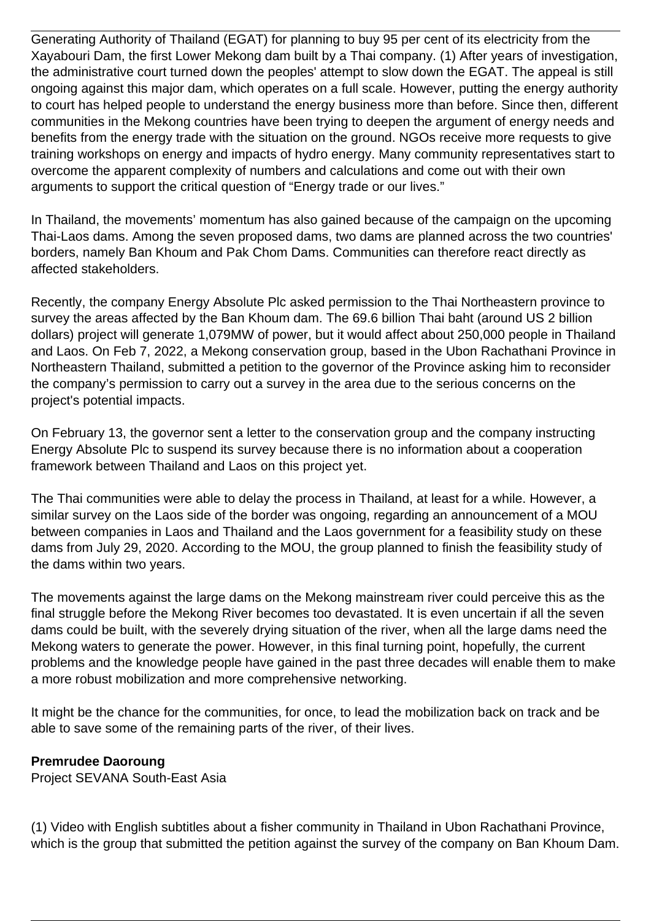Generating Authority of Thailand (EGAT) for planning to buy 95 per cent of its electricity from the Xayabouri Dam, the first Lower Mekong dam built by a Thai company. (1) After years of investigation, the administrative court turned down the peoples' attempt to slow down the EGAT. The appeal is still ongoing against this major dam, which operates on a full scale. However, putting the energy authority to court has helped people to understand the energy business more than before. Since then, different communities in the Mekong countries have been trying to deepen the argument of energy needs and benefits from the energy trade with the situation on the ground. NGOs receive more requests to give training workshops on energy and impacts of hydro energy. Many community representatives start to overcome the apparent complexity of numbers and calculations and come out with their own arguments to support the critical question of "Energy trade or our lives."

In Thailand, the movements' momentum has also gained because of the campaign on the upcoming Thai-Laos dams. Among the seven proposed dams, two dams are planned across the two countries' borders, namely Ban Khoum and Pak Chom Dams. Communities can therefore react directly as affected stakeholders.

Recently, the company Energy Absolute Plc asked permission to the Thai Northeastern province to survey the areas affected by the Ban Khoum dam. The 69.6 billion Thai baht (around US 2 billion dollars) project will generate 1,079MW of power, but it would affect about 250,000 people in Thailand and Laos. On Feb 7, 2022, a Mekong conservation group, based in the Ubon Rachathani Province in Northeastern Thailand, submitted a petition to the governor of the Province asking him to reconsider the company's permission to carry out a survey in the area due to the serious concerns on the project's potential impacts.

On February 13, the governor sent a letter to the conservation group and the company instructing Energy Absolute Plc to suspend its survey because there is no information about a cooperation framework between Thailand and Laos on this project yet.

The Thai communities were able to delay the process in Thailand, at least for a while. However, a similar survey on the Laos side of the border was ongoing, regarding an announcement of a MOU between companies in Laos and Thailand and the Laos government for a feasibility study on these dams from July 29, 2020. According to the MOU, the group planned to finish the feasibility study of the dams within two years.

The movements against the large dams on the Mekong mainstream river could perceive this as the final struggle before the Mekong River becomes too devastated. It is even uncertain if all the seven dams could be built, with the severely drying situation of the river, when all the large dams need the Mekong waters to generate the power. However, in this final turning point, hopefully, the current problems and the knowledge people have gained in the past three decades will enable them to make a more robust mobilization and more comprehensive networking.

It might be the chance for the communities, for once, to lead the mobilization back on track and be able to save some of the remaining parts of the river, of their lives.

## **Premrudee Daoroung**

Project SEVANA South-East Asia

(1) Video with English subtitles about a fisher community in Thailand in Ubon Rachathani Province, which is the group that submitted the petition against the survey of the company on Ban Khoum Dam.